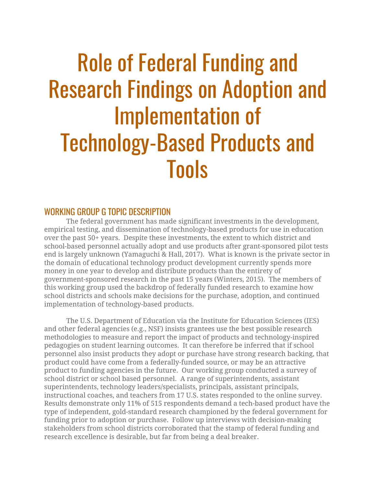# Role of Federal Funding and Research Findings on Adoption and Implementation of Technology-Based Products and Tools

## WORKING GROUP G TOPIC DESCRIPTION

The federal government has made significant investments in the development, empirical testing, and dissemination of technology-based products for use in education over the past 50+ years. Despite these investments, the extent to which district and school-based personnel actually adopt and use products after grant-sponsored pilot tests end is largely unknown (Yamaguchi & Hall, 2017). What is known is the private sector in the domain of educational technology product development currently spends more money in one year to develop and distribute products than the entirety of government-sponsored research in the past 15 years (Winters, 2015). The members of this working group used the backdrop of federally funded research to examine how school districts and schools make decisions for the purchase, adoption, and continued implementation of technology-based products.

The U.S. Department of Education via the Institute for Education Sciences (IES) and other federal agencies (e.g., NSF) insists grantees use the best possible research methodologies to measure and report the impact of products and technology-inspired pedagogies on student learning outcomes. It can therefore be inferred that if school personnel also insist products they adopt or purchase have strong research backing, that product could have come from a federally-funded source, or may be an attractive product to funding agencies in the future. Our working group conducted a survey of school district or school based personnel. A range of superintendents, assistant superintendents, technology leaders/specialists, principals, assistant principals, instructional coaches, and teachers from 17 U.S. states responded to the online survey. Results demonstrate only 11% of 515 respondents demand a tech-based product have the type of independent, gold-standard research championed by the federal government for funding prior to adoption or purchase. Follow up interviews with decision-making stakeholders from school districts corroborated that the stamp of federal funding and research excellence is desirable, but far from being a deal breaker.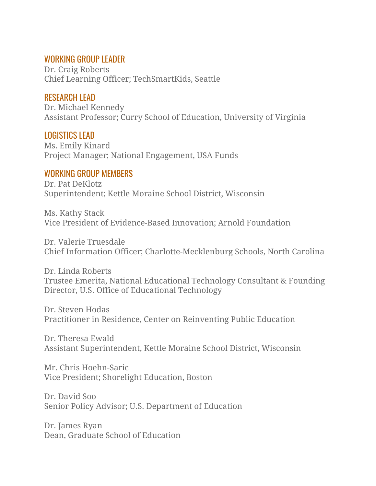## WORKING GROUP LEADER

Dr. Craig Roberts Chief Learning Officer; TechSmartKids, Seattle

# RESEARCH LEAD

Dr. Michael Kennedy Assistant Professor; Curry School of Education, University of Virginia

# LOGISTICS LEAD

Ms. Emily Kinard Project Manager; National Engagement, USA Funds

# WORKING GROUP MEMBERS

Dr. Pat DeKlotz Superintendent; Kettle Moraine School District, Wisconsin

Ms. Kathy Stack Vice President of Evidence-Based Innovation; Arnold Foundation

Dr. Valerie Truesdale Chief Information Officer; Charlotte-Mecklenburg Schools, North Carolina

Dr. Linda Roberts Trustee Emerita, National Educational Technology Consultant & Founding Director, U.S. Office of Educational Technology

Dr. Steven Hodas Practitioner in Residence, Center on Reinventing Public Education

Dr. Theresa Ewald Assistant Superintendent, Kettle Moraine School District, Wisconsin

Mr. Chris Hoehn-Saric Vice President; Shorelight Education, Boston

Dr. David Soo Senior Policy Advisor; U.S. Department of Education

Dr. James Ryan Dean, Graduate School of Education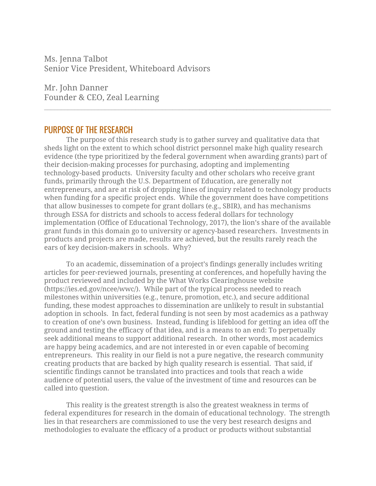Ms. Jenna Talbot Senior Vice President, Whiteboard Advisors

Mr. John Danner Founder & CEO, Zeal Learning

## PURPOSE OF THE RESEARCH

The purpose of this research study is to gather survey and qualitative data that sheds light on the extent to which school district personnel make high quality research evidence (the type prioritized by the federal government when awarding grants) part of their decision-making processes for purchasing, adopting and implementing technology-based products. University faculty and other scholars who receive grant funds, primarily through the U.S. Department of Education, are generally not entrepreneurs, and are at risk of dropping lines of inquiry related to technology products when funding for a specific project ends. While the government does have competitions that allow businesses to compete for grant dollars (e.g., SBIR), and has mechanisms through ESSA for districts and schools to access federal dollars for technology implementation (Office of Educational Technology, 2017), the lion's share of the available grant funds in this domain go to university or agency-based researchers. Investments in products and projects are made, results are achieved, but the results rarely reach the ears of key decision-makers in schools. Why?

 $\mathcal{L}_\text{max} = \mathcal{L}_\text{max} = \mathcal{L}_\text{max} = \mathcal{L}_\text{max} = \mathcal{L}_\text{max} = \mathcal{L}_\text{max} = \mathcal{L}_\text{max} = \mathcal{L}_\text{max} = \mathcal{L}_\text{max} = \mathcal{L}_\text{max} = \mathcal{L}_\text{max} = \mathcal{L}_\text{max} = \mathcal{L}_\text{max} = \mathcal{L}_\text{max} = \mathcal{L}_\text{max} = \mathcal{L}_\text{max} = \mathcal{L}_\text{max} = \mathcal{L}_\text{max} = \mathcal{$ 

To an academic, dissemination of a project's findings generally includes writing articles for peer-reviewed journals, presenting at conferences, and hopefully having the product reviewed and included by the What Works Clearinghouse website (https://ies.ed.gov/ncee/wwc/). While part of the typical process needed to reach milestones within universities (e.g., tenure, promotion, etc.), and secure additional funding, these modest approaches to dissemination are unlikely to result in substantial adoption in schools. In fact, federal funding is not seen by most academics as a pathway to creation of one's own business. Instead, funding is lifeblood for getting an idea off the ground and testing the efficacy of that idea, and is a means to an end: To perpetually seek additional means to support additional research. In other words, most academics are happy being academics, and are not interested in or even capable of becoming entrepreneurs. This reality in our field is not a pure negative, the research community creating products that are backed by high quality research is essential. That said, if scientific findings cannot be translated into practices and tools that reach a wide audience of potential users, the value of the investment of time and resources can be called into question.

This reality is the greatest strength is also the greatest weakness in terms of federal expenditures for research in the domain of educational technology. The strength lies in that researchers are commissioned to use the very best research designs and methodologies to evaluate the efficacy of a product or products without substantial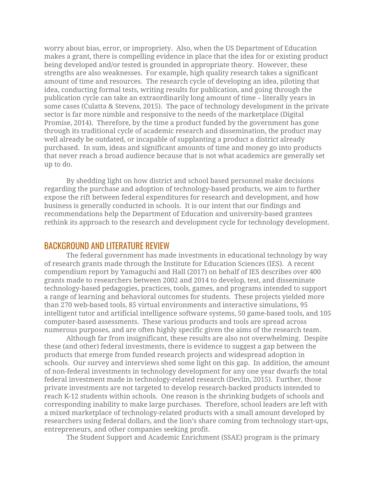worry about bias, error, or impropriety. Also, when the US Department of Education makes a grant, there is compelling evidence in place that the idea for or existing product being developed and/or tested is grounded in appropriate theory. However, these strengths are also weaknesses. For example, high quality research takes a significant amount of time and resources. The research cycle of developing an idea, piloting that idea, conducting formal tests, writing results for publication, and going through the publication cycle can take an extraordinarily long amount of time – literally years in some cases (Culatta & Stevens, 2015). The pace of technology development in the private sector is far more nimble and responsive to the needs of the marketplace (Digital Promise, 2014). Therefore, by the time a product funded by the government has gone through its traditional cycle of academic research and dissemination, the product may well already be outdated, or incapable of supplanting a product a district already purchased. In sum, ideas and significant amounts of time and money go into products that never reach a broad audience because that is not what academics are generally set up to do.

By shedding light on how district and school based personnel make decisions regarding the purchase and adoption of technology-based products, we aim to further expose the rift between federal expenditures for research and development, and how business is generally conducted in schools. It is our intent that our findings and recommendations help the Department of Education and university-based grantees rethink its approach to the research and development cycle for technology development.

## BACKGROUND AND LITERATURE REVIEW

The federal government has made investments in educational technology by way of research grants made through the Institute for Education Sciences (IES). A recent compendium report by Yamaguchi and Hall (2017) on behalf of IES describes over 400 grants made to researchers between 2002 and 2014 to develop, test, and disseminate technology-based pedagogies, practices, tools, games, and programs intended to support a range of learning and behavioral outcomes for students. These projects yielded more than 270 web-based tools, 85 virtual environments and interactive simulations, 95 intelligent tutor and artificial intelligence software systems, 50 game-based tools, and 105 computer-based assessments. These various products and tools are spread across numerous purposes, and are often highly specific given the aims of the research team.

Although far from insignificant, these results are also not overwhelming. Despite these (and other) federal investments, there is evidence to suggest a gap between the products that emerge from funded research projects and widespread adoption in schools. Our survey and interviews shed some light on this gap. In addition, the amount of non-federal investments in technology development for any one year dwarfs the total federal investment made in technology-related research (Devlin, 2015). Further, those private investments are not targeted to develop research-backed products intended to reach K-12 students within schools. One reason is the shrinking budgets of schools and corresponding inability to make large purchases. Therefore, school leaders are left with a mixed marketplace of technology-related products with a small amount developed by researchers using federal dollars, and the lion's share coming from technology start-ups, entrepreneurs, and other companies seeking profit.

The Student Support and Academic Enrichment (SSAE) program is the primary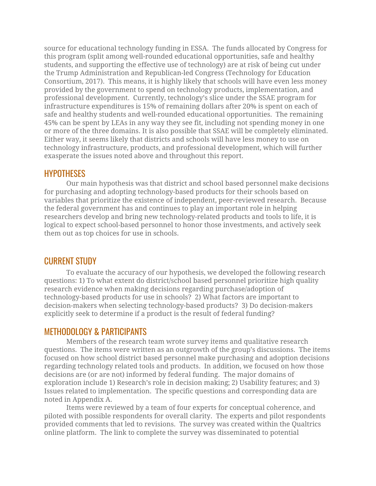source for educational technology funding in ESSA. The funds allocated by Congress for this program (split among well-rounded educational opportunities, safe and healthy students, and supporting the effective use of technology) are at risk of being cut under the Trump Administration and Republican-led Congress (Technology for Education Consortium, 2017). This means, it is highly likely that schools will have even less money provided by the government to spend on technology products, implementation, and professional development. Currently, technology's slice under the SSAE program for infrastructure expenditures is 15% of remaining dollars after 20% is spent on each of safe and healthy students and well-rounded educational opportunities. The remaining 45% can be spent by LEAs in any way they see fit, including not spending money in one or more of the three domains. It is also possible that SSAE will be completely eliminated. Either way, it seems likely that districts and schools will have less money to use on technology infrastructure, products, and professional development, which will further exasperate the issues noted above and throughout this report.

## **HYPOTHESES**

Our main hypothesis was that district and school based personnel make decisions for purchasing and adopting technology-based products for their schools based on variables that prioritize the existence of independent, peer-reviewed research. Because the federal government has and continues to play an important role in helping researchers develop and bring new technology-related products and tools to life, it is logical to expect school-based personnel to honor those investments, and actively seek them out as top choices for use in schools.

## CURRENT STUDY

To evaluate the accuracy of our hypothesis, we developed the following research questions: 1) To what extent do district/school based personnel prioritize high quality research evidence when making decisions regarding purchase/adoption of technology-based products for use in schools? 2) What factors are important to decision-makers when selecting technology-based products? 3) Do decision-makers explicitly seek to determine if a product is the result of federal funding?

## METHODOLOGY & PARTICIPANTS

Members of the research team wrote survey items and qualitative research questions. The items were written as an outgrowth of the group's discussions. The items focused on how school district based personnel make purchasing and adoption decisions regarding technology related tools and products. In addition, we focused on how those decisions are (or are not) informed by federal funding. The major domains of exploration include 1) Research's role in decision making; 2) Usability features; and 3) Issues related to implementation. The specific questions and corresponding data are noted in Appendix A.

Items were reviewed by a team of four experts for conceptual coherence, and piloted with possible respondents for overall clarity. The experts and pilot respondents provided comments that led to revisions. The survey was created within the Qualtrics online platform. The link to complete the survey was disseminated to potential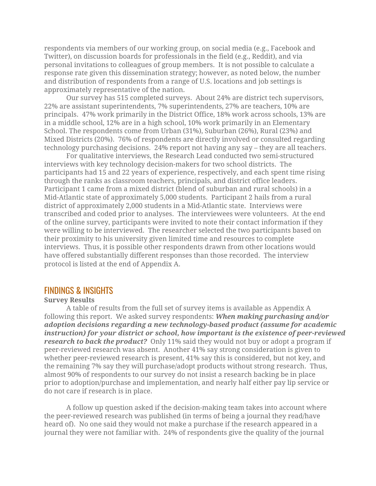respondents via members of our working group, on social media (e.g., Facebook and Twitter), on discussion boards for professionals in the field (e.g., Reddit), and via personal invitations to colleagues of group members. It is not possible to calculate a response rate given this dissemination strategy; however, as noted below, the number and distribution of respondents from a range of U.S. locations and job settings is approximately representative of the nation.

Our survey has 515 completed surveys. About 24% are district tech supervisors, 22% are assistant superintendents, 7% superintendents, 27% are teachers, 10% are principals. 47% work primarily in the District Office, 18% work across schools, 13% are in a middle school, 12% are in a high school, 10% work primarily in an Elementary School. The respondents come from Urban (31%), Suburban (26%), Rural (23%) and Mixed Districts (20%). 76% of respondents are directly involved or consulted regarding technology purchasing decisions. 24% report not having any say – they are all teachers.

For qualitative interviews, the Research Lead conducted two semi-structured interviews with key technology decision-makers for two school districts. The participants had 15 and 22 years of experience, respectively, and each spent time rising through the ranks as classroom teachers, principals, and district office leaders. Participant 1 came from a mixed district (blend of suburban and rural schools) in a Mid-Atlantic state of approximately 5,000 students. Participant 2 hails from a rural district of approximately 2,000 students in a Mid-Atlantic state. Interviews were transcribed and coded prior to analyses. The interviewees were volunteers. At the end of the online survey, participants were invited to note their contact information if they were willing to be interviewed. The researcher selected the two participants based on their proximity to his university given limited time and resources to complete interviews. Thus, it is possible other respondents drawn from other locations would have offered substantially different responses than those recorded. The interview protocol is listed at the end of Appendix A.

## FINDINGS & INSIGHTS

#### **Survey Results**

A table of results from the full set of survey items is available as Appendix A following this report. We asked survey respondents: *When making purchasing and/or adoption decisions regarding a new technology-based product (assume for academic instruction) for your district or school, how important is the existence of peer-reviewed research to back the product?* Only 11% said they would not buy or adopt a program if peer-reviewed research was absent. Another 41% say strong consideration is given to whether peer-reviewed research is present, 41% say this is considered, but not key, and the remaining 7% say they will purchase/adopt products without strong research. Thus, almost 90% of respondents to our survey do not insist a research backing be in place prior to adoption/purchase and implementation, and nearly half either pay lip service or do not care if research is in place.

A follow up question asked if the decision-making team takes into account where the peer-reviewed research was published (in terms of being a journal they read/have heard of). No one said they would not make a purchase if the research appeared in a journal they were not familiar with. 24% of respondents give the quality of the journal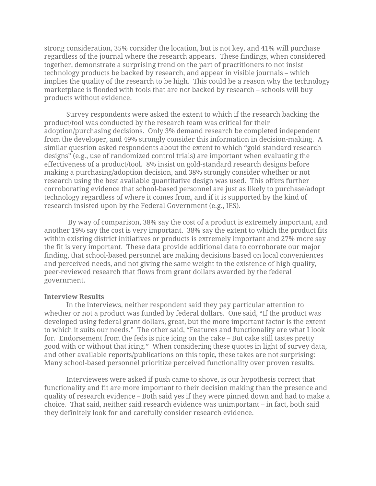strong consideration, 35% consider the location, but is not key, and 41% will purchase regardless of the journal where the research appears. These findings, when considered together, demonstrate a surprising trend on the part of practitioners to not insist technology products be backed by research, and appear in visible journals – which implies the quality of the research to be high. This could be a reason why the technology marketplace is flooded with tools that are not backed by research – schools will buy products without evidence.

Survey respondents were asked the extent to which if the research backing the product/tool was conducted by the research team was critical for their adoption/purchasing decisions. Only 3% demand research be completed independent from the developer, and 49% strongly consider this information in decision-making. A similar question asked respondents about the extent to which "gold standard research designs" (e.g., use of randomized control trials) are important when evaluating the effectiveness of a product/tool. 8% insist on gold-standard research designs before making a purchasing/adoption decision, and 38% strongly consider whether or not research using the best available quantitative design was used. This offers further corroborating evidence that school-based personnel are just as likely to purchase/adopt technology regardless of where it comes from, and if it is supported by the kind of research insisted upon by the Federal Government (e.g., IES).

By way of comparison, 38% say the cost of a product is extremely important, and another 19% say the cost is very important. 38% say the extent to which the product fits within existing district initiatives or products is extremely important and 27% more say the fit is very important. These data provide additional data to corroborate our major finding, that school-based personnel are making decisions based on local conveniences and perceived needs, and not giving the same weight to the existence of high quality, peer-reviewed research that flows from grant dollars awarded by the federal government.

#### **Interview Results**

In the interviews, neither respondent said they pay particular attention to whether or not a product was funded by federal dollars. One said, "If the product was developed using federal grant dollars, great, but the more important factor is the extent to which it suits our needs." The other said, "Features and functionality are what I look for. Endorsement from the feds is nice icing on the cake – But cake still tastes pretty good with or without that icing." When considering these quotes in light of survey data, and other available reports/publications on this topic, these takes are not surprising: Many school-based personnel prioritize perceived functionality over proven results.

Interviewees were asked if push came to shove, is our hypothesis correct that functionality and fit are more important to their decision making than the presence and quality of research evidence – Both said yes if they were pinned down and had to make a choice. That said, neither said research evidence was unimportant – in fact, both said they definitely look for and carefully consider research evidence.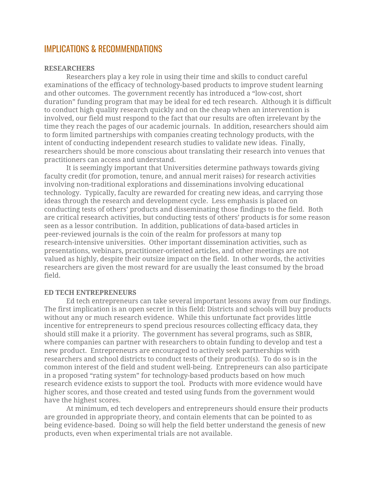## IMPLICATIONS & RECOMMENDATIONS

#### **RESEARCHERS**

Researchers play a key role in using their time and skills to conduct careful examinations of the efficacy of technology-based products to improve student learning and other outcomes. The government recently has introduced a "low-cost, short duration" funding program that may be ideal for ed tech research. Although it is difficult to conduct high quality research quickly and on the cheap when an intervention is involved, our field must respond to the fact that our results are often irrelevant by the time they reach the pages of our academic journals. In addition, researchers should aim to form limited partnerships with companies creating technology products, with the intent of conducting independent research studies to validate new ideas. Finally, researchers should be more conscious about translating their research into venues that practitioners can access and understand.

It is seemingly important that Universities determine pathways towards giving faculty credit (for promotion, tenure, and annual merit raises) for research activities involving non-traditional explorations and disseminations involving educational technology. Typically, faculty are rewarded for creating new ideas, and carrying those ideas through the research and development cycle. Less emphasis is placed on conducting tests of others' products and disseminating those findings to the field. Both are critical research activities, but conducting tests of others' products is for some reason seen as a lessor contribution. In addition, publications of data-based articles in peer-reviewed journals is the coin of the realm for professors at many top research-intensive universities. Other important dissemination activities, such as presentations, webinars, practitioner-oriented articles, and other meetings are not valued as highly, despite their outsize impact on the field. In other words, the activities researchers are given the most reward for are usually the least consumed by the broad field.

#### **ED TECH ENTREPRENEURS**

Ed tech entrepreneurs can take several important lessons away from our findings. The first implication is an open secret in this field: Districts and schools will buy products without any or much research evidence. While this unfortunate fact provides little incentive for entrepreneurs to spend precious resources collecting efficacy data, they should still make it a priority. The government has several programs, such as SBIR, where companies can partner with researchers to obtain funding to develop and test a new product. Entrepreneurs are encouraged to actively seek partnerships with researchers and school districts to conduct tests of their product(s). To do so is in the common interest of the field and student well-being. Entrepreneurs can also participate in a proposed "rating system" for technology-based products based on how much research evidence exists to support the tool. Products with more evidence would have higher scores, and those created and tested using funds from the government would have the highest scores.

At minimum, ed tech developers and entrepreneurs should ensure their products are grounded in appropriate theory, and contain elements that can be pointed to as being evidence-based. Doing so will help the field better understand the genesis of new products, even when experimental trials are not available.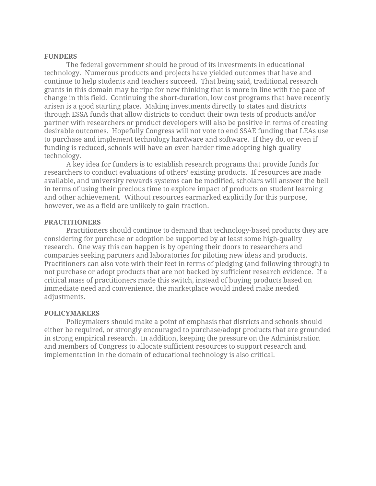#### **FUNDERS**

The federal government should be proud of its investments in educational technology. Numerous products and projects have yielded outcomes that have and continue to help students and teachers succeed. That being said, traditional research grants in this domain may be ripe for new thinking that is more in line with the pace of change in this field. Continuing the short-duration, low cost programs that have recently arisen is a good starting place. Making investments directly to states and districts through ESSA funds that allow districts to conduct their own tests of products and/or partner with researchers or product developers will also be positive in terms of creating desirable outcomes. Hopefully Congress will not vote to end SSAE funding that LEAs use to purchase and implement technology hardware and software. If they do, or even if funding is reduced, schools will have an even harder time adopting high quality technology.

A key idea for funders is to establish research programs that provide funds for researchers to conduct evaluations of others' existing products. If resources are made available, and university rewards systems can be modified, scholars will answer the bell in terms of using their precious time to explore impact of products on student learning and other achievement. Without resources earmarked explicitly for this purpose, however, we as a field are unlikely to gain traction.

#### **PRACTITIONERS**

Practitioners should continue to demand that technology-based products they are considering for purchase or adoption be supported by at least some high-quality research. One way this can happen is by opening their doors to researchers and companies seeking partners and laboratories for piloting new ideas and products. Practitioners can also vote with their feet in terms of pledging (and following through) to not purchase or adopt products that are not backed by sufficient research evidence. If a critical mass of practitioners made this switch, instead of buying products based on immediate need and convenience, the marketplace would indeed make needed adjustments.

#### **POLICYMAKERS**

Policymakers should make a point of emphasis that districts and schools should either be required, or strongly encouraged to purchase/adopt products that are grounded in strong empirical research. In addition, keeping the pressure on the Administration and members of Congress to allocate sufficient resources to support research and implementation in the domain of educational technology is also critical.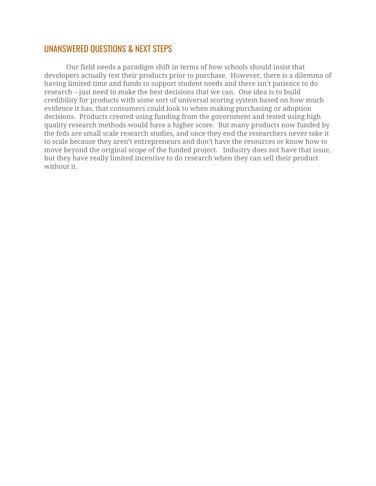# UNANSWERED QUESTIONS & NEXT STEPS

Our field needs a paradigm shift in terms of how schools should insist that developers actually test their products prior to purchase. However, there is a dilemma of having limited time and funds to support student needs and there isn't patience to do research – just need to make the best decisions that we can. One idea is to build credibility for products with some sort of universal scoring system based on how much evidence it has, that consumers could look to when making purchasing or adoption decisions. Products created using funding from the government and tested using high quality research methods would have a higher score. But many products now funded by the feds are small scale research studies, and once they end the researchers never take it to scale because they aren't entrepreneurs and don't have the resources or know how to move beyond the original scope of the funded project. Industry does not have that issue, but they have really limited incentive to do research when they can sell their product without it.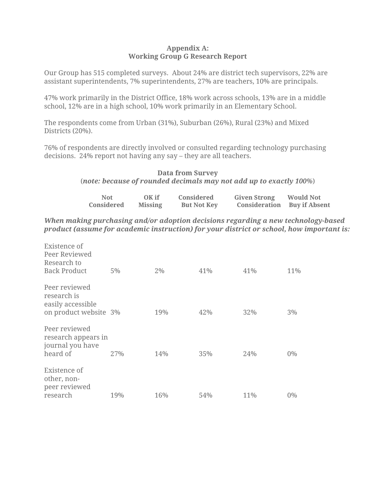#### **Appendix A: Working Group G Research Report**

Our Group has 515 completed surveys. About 24% are district tech supervisors, 22% are assistant superintendents, 7% superintendents, 27% are teachers, 10% are principals.

47% work primarily in the District Office, 18% work across schools, 13% are in a middle school, 12% are in a high school, 10% work primarily in an Elementary School.

The respondents come from Urban (31%), Suburban (26%), Rural (23%) and Mixed Districts (20%).

76% of respondents are directly involved or consulted regarding technology purchasing decisions. 24% report not having any say – they are all teachers.

## **Data from Survey** (*note: because of rounded decimals may not add up to exactly 100%*)

| Not<br>Considered             | $\overline{OK}$ if<br>Missing | Considered<br><b>But Not Key</b> | <b>Given Strong</b><br><b>Consideration</b> Buy if Absent | <b>Would Not</b> |
|-------------------------------|-------------------------------|----------------------------------|-----------------------------------------------------------|------------------|
| $\mathbf{v}$ and $\mathbf{v}$ |                               |                                  |                                                           |                  |

*When making purchasing and/or adoption decisions regarding a new technology-based product (assume for academic instruction) for your district or school, how important is:*

| Existence of<br>Peer Reviewed<br>Research to<br><b>Back Product</b>        | $5\%$ | 2%  | 41% | 41% | 11%   |
|----------------------------------------------------------------------------|-------|-----|-----|-----|-------|
| Peer reviewed<br>research is<br>easily accessible<br>on product website 3% |       | 19% | 42% | 32% | 3%    |
| Peer reviewed<br>research appears in<br>journal you have<br>heard of       | 27%   | 14% | 35% | 24% | $0\%$ |
| Existence of<br>other, non-<br>peer reviewed<br>research                   | 19%   | 16% | 54% | 11% | $0\%$ |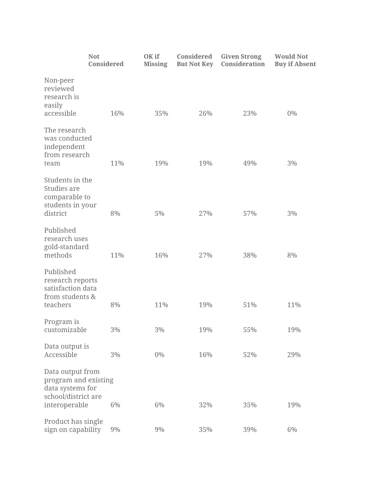| <b>Not</b>                                                                                           | Considered | OK if<br><b>Missing</b> | Considered<br><b>But Not Key</b> | <b>Given Strong</b><br>Consideration | <b>Would Not</b><br><b>Buy if Absent</b> |
|------------------------------------------------------------------------------------------------------|------------|-------------------------|----------------------------------|--------------------------------------|------------------------------------------|
| Non-peer<br>reviewed<br>research is<br>easily<br>accessible                                          | 16%        | 35%                     | 26%                              | 23%                                  | 0%                                       |
| The research<br>was conducted<br>independent<br>from research<br>team                                | 11%        | 19%                     | 19%                              | 49%                                  | 3%                                       |
| Students in the<br>Studies are<br>comparable to<br>students in your<br>district                      | 8%         | 5%                      | 27%                              | 57%                                  | 3%                                       |
| Published<br>research uses<br>gold-standard<br>methods                                               | 11%        | 16%                     | 27%                              | 38%                                  | 8%                                       |
| Published<br>research reports<br>satisfaction data<br>from students &<br>teachers                    | 8%         | 11%                     | 19%                              | 51%                                  | 11%                                      |
| Program is<br>customizable                                                                           | 3%         | 3%                      | 19%                              | 55%                                  | 19%                                      |
| Data output is<br>Accessible                                                                         | 3%         | 0%                      | 16%                              | 52%                                  | 29%                                      |
| Data output from<br>program and existing<br>data systems for<br>school/district are<br>interoperable | 6%         | 6%                      | 32%                              | 35%                                  | 19%                                      |
| Product has single<br>sign on capability                                                             | $9\%$      | 9%                      | 35%                              | 39%                                  | 6%                                       |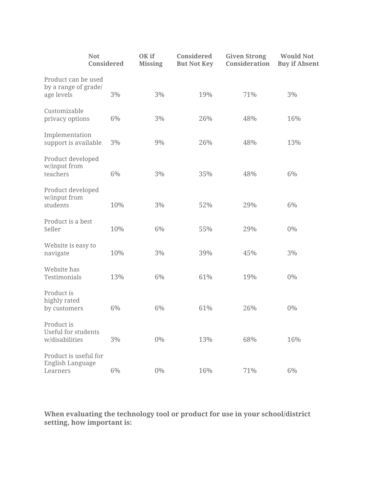| <b>Not</b>                                                 | Considered | OK if<br><b>Missing</b> | Considered<br><b>But Not Key</b> | <b>Given Strong</b><br>Consideration | <b>Would Not</b><br><b>Buy if Absent</b> |
|------------------------------------------------------------|------------|-------------------------|----------------------------------|--------------------------------------|------------------------------------------|
| Product can be used<br>by a range of grade/<br>age levels  | 3%         | 3%                      | 19%                              | 71%                                  | 3%                                       |
| Customizable<br>privacy options                            | 6%         | 3%                      | 26%                              | 48%                                  | 16%                                      |
| Implementation<br>support is available                     | 3%         | 9%                      | 26%                              | 48%                                  | 13%                                      |
| Product developed<br>w/input from<br>teachers              | 6%         | 3%                      | 35%                              | 48%                                  | 6%                                       |
| Product developed<br>w/input from<br>students              | 10%        | 3%                      | 52%                              | 29%                                  | 6%                                       |
| Product is a best<br>Seller                                | 10%        | 6%                      | 55%                              | 29%                                  | $0\%$                                    |
| Website is easy to<br>navigate                             | 10%        | 3%                      | 39%                              | 45%                                  | 3%                                       |
| Website has<br>Testimonials                                | 13%        | 6%                      | 61%                              | 19%                                  | 0%                                       |
| Product is<br>highly rated<br>by customers                 | 6%         | 6%                      | 61%                              | 26%                                  | 0%                                       |
| Product is<br><b>Useful for students</b><br>w/disabilities | 3%         | 0%                      | 13%                              | 68%                                  | 16%                                      |
| Product is useful for<br>English Language<br>Learners      | 6%         | $0\%$                   | 16%                              | 71%                                  | 6%                                       |

**When evaluating the technology tool or product for use in your school/district setting, how important is:**